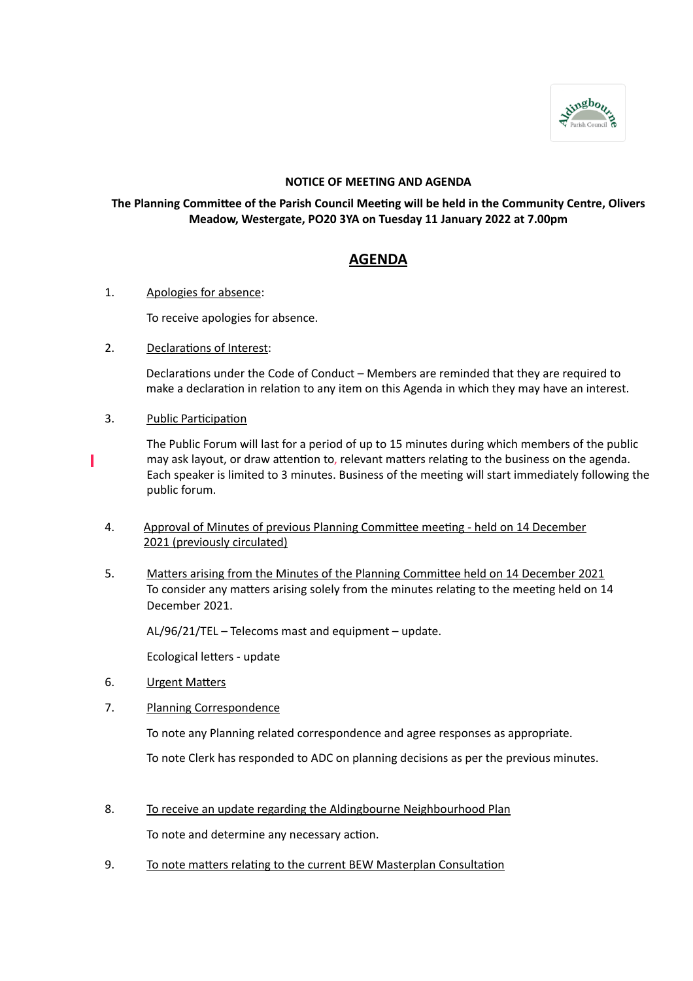

# **NOTICE OF MEETING AND AGENDA**

# **The Planning Committee of the Parish Council Meeting will be held in the Community Centre, Olivers Meadow, Westergate, PO20 3YA on Tuesday 11 January 2022 at 7.00pm**

# **AGENDA**

1. Apologies for absence:

To receive apologies for absence.

2. Declarations of Interest:

Declarations under the Code of Conduct – Members are reminded that they are required to make a declaration in relation to any item on this Agenda in which they may have an interest.

3. Public Participation

ı

The Public Forum will last for a period of up to 15 minutes during which members of the public may ask layout, or draw attention to, relevant matters relating to the business on the agenda. Each speaker is limited to 3 minutes. Business of the meeting will start immediately following the public forum.

- 4. Approval of Minutes of previous Planning Committee meeting held on 14 December 2021 (previously circulated)
- 5. Matters arising from the Minutes of the Planning Committee held on 14 December 2021 To consider any matters arising solely from the minutes relating to the meeting held on 14 December 2021.

AL/96/21/TEL – Telecoms mast and equipment – update.

Ecological letters - update

- 6. Urgent Matters
- 7. Planning Correspondence

To note any Planning related correspondence and agree responses as appropriate.

To note Clerk has responded to ADC on planning decisions as per the previous minutes.

8. To receive an update regarding the Aldingbourne Neighbourhood Plan

To note and determine any necessary action.

9. To note matters relating to the current BEW Masterplan Consultation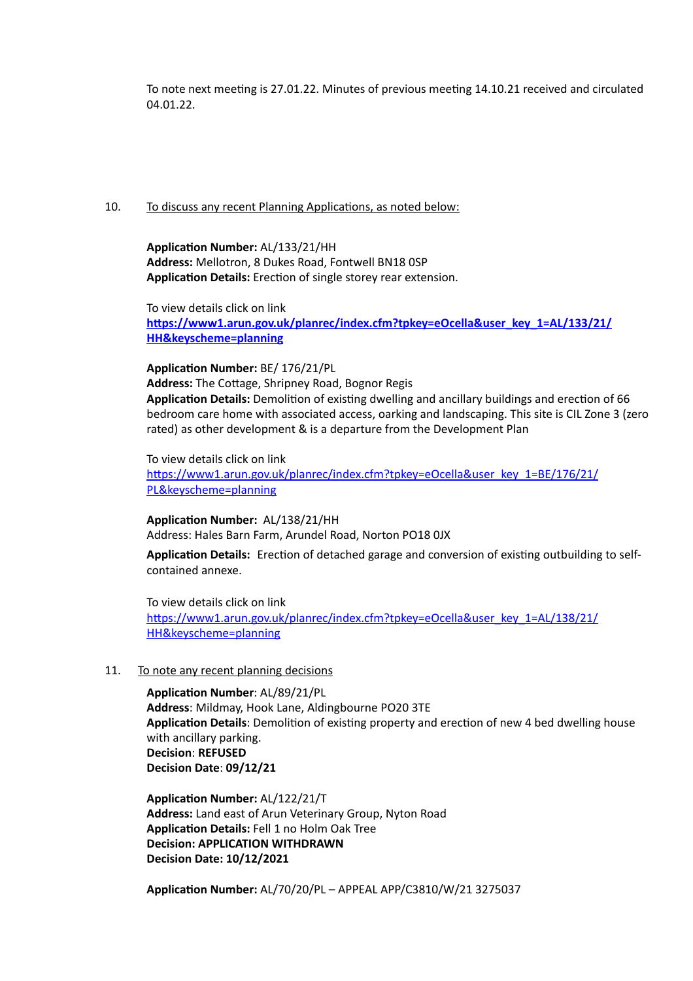To note next meeting is 27.01.22. Minutes of previous meeting 14.10.21 received and circulated 04.01.22.

#### 10. To discuss any recent Planning Applications, as noted below:

**Application Number:** AL/133/21/HH **Address:** Mellotron, 8 Dukes Road, Fontwell BN18 0SP **Application Details:** Erection of single storey rear extension.

To view details click on link **[https://www1.arun.gov.uk/planrec/index.cfm?tpkey=eOcella&user\\_key\\_1=AL/133/21/](https://www1.arun.gov.uk/planrec/index.cfm?tpkey=eOcella&user_key_1=AL/133/21/HH&keyscheme=planning) [HH&keyscheme=planning](https://www1.arun.gov.uk/planrec/index.cfm?tpkey=eOcella&user_key_1=AL/133/21/HH&keyscheme=planning)** 

#### **Application Number:** BE/ 176/21/PL

**Address:** The Cottage, Shripney Road, Bognor Regis **Application Details:** Demolition of existing dwelling and ancillary buildings and erection of 66 bedroom care home with associated access, oarking and landscaping. This site is CIL Zone 3 (zero rated) as other development & is a departure from the Development Plan

#### To view details click on link

[https://www1.arun.gov.uk/planrec/index.cfm?tpkey=eOcella&user\\_key\\_1=BE/176/21/](https://www1.arun.gov.uk/planrec/index.cfm?tpkey=eOcella&user_key_1=BE/176/21/PL&keyscheme=planning) [PL&keyscheme=planning](https://www1.arun.gov.uk/planrec/index.cfm?tpkey=eOcella&user_key_1=BE/176/21/PL&keyscheme=planning)

# **Application Number:** AL/138/21/HH

Address: Hales Barn Farm, Arundel Road, Norton PO18 0JX

**Application Details:** Erection of detached garage and conversion of existing outbuilding to selfcontained annexe.

To view details click on link [https://www1.arun.gov.uk/planrec/index.cfm?tpkey=eOcella&user\\_key\\_1=AL/138/21/](https://www1.arun.gov.uk/planrec/index.cfm?tpkey=eOcella&user_key_1=AL/138/21/HH&keyscheme=planning) [HH&keyscheme=planning](https://www1.arun.gov.uk/planrec/index.cfm?tpkey=eOcella&user_key_1=AL/138/21/HH&keyscheme=planning) 

### 11. To note any recent planning decisions

**Application Number**: AL/89/21/PL **Address**: Mildmay, Hook Lane, Aldingbourne PO20 3TE **Application Details**: Demolition of existing property and erection of new 4 bed dwelling house with ancillary parking. **Decision**: **REFUSED Decision Date**: **09/12/21**

**Application Number:** AL/122/21/T **Address:** Land east of Arun Veterinary Group, Nyton Road **Application Details:** Fell 1 no Holm Oak Tree **Decision: APPLICATION WITHDRAWN Decision Date: 10/12/2021**

**Application Number:** AL/70/20/PL – APPEAL APP/C3810/W/21 3275037